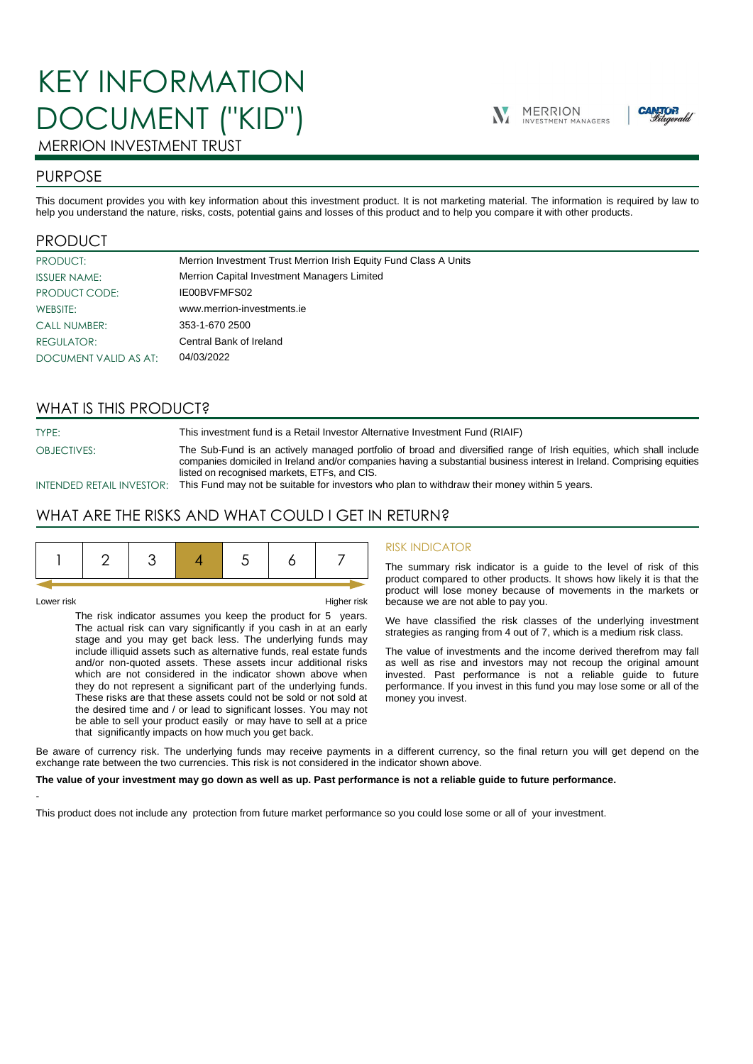# KEY INFORMATION DOCUMENT ("KID")





# MERRION INVESTMENT TRUST

## PURPOSE

This document provides you with key information about this investment product. It is not marketing material. The information is required by law to help you understand the nature, risks, costs, potential gains and losses of this product and to help you compare it with other products.

## PRODUCT

| <b>PRODUCT:</b>       | Merrion Investment Trust Merrion Irish Equity Fund Class A Units |
|-----------------------|------------------------------------------------------------------|
| <b>ISSUER NAME:</b>   | Merrion Capital Investment Managers Limited                      |
| PRODUCT CODE:         | IE00BVFMFS02                                                     |
| WEBSITE:              | www.merrion-investments.ie                                       |
| <b>CALL NUMBER:</b>   | 353-1-670 2500                                                   |
| <b>REGULATOR:</b>     | Central Bank of Ireland                                          |
| DOCUMENT VALID AS AT: | 04/03/2022                                                       |

## WHAT IS THIS PRODUCT?

TYPE: This investment fund is a Retail Investor Alternative Investment Fund (RIAIF)

OBJECTIVES: The Sub-Fund is an actively managed portfolio of broad and diversified range of Irish equities, which shall include companies domiciled in Ireland and/or companies having a substantial business interest in Ireland. Comprising equities listed on recognised markets, ETFs, and CIS.

INTENDED RETAIL INVESTOR: This Fund may not be suitable for investors who plan to withdraw their money within 5 years.

## WHAT ARE THE RISKS AND WHAT COULD I GET IN RETURN?

|--|

-

Lower risk Higher risk

The risk indicator assumes you keep the product for 5 years. The actual risk can vary significantly if you cash in at an early stage and you may get back less. The underlying funds may include illiquid assets such as alternative funds, real estate funds and/or non-quoted assets. These assets incur additional risks which are not considered in the indicator shown above when they do not represent a significant part of the underlying funds. These risks are that these assets could not be sold or not sold at the desired time and / or lead to significant losses. You may not be able to sell your product easily or may have to sell at a price that significantly impacts on how much you get back.

#### RISK INDICATOR

The summary risk indicator is a guide to the level of risk of this product compared to other products. It shows how likely it is that the product will lose money because of movements in the markets or because we are not able to pay you.

We have classified the risk classes of the underlying investment strategies as ranging from 4 out of 7, which is a medium risk class.

The value of investments and the income derived therefrom may fall as well as rise and investors may not recoup the original amount invested. Past performance is not a reliable guide to future performance. If you invest in this fund you may lose some or all of the money you invest.

Be aware of currency risk. The underlying funds may receive payments in a different currency, so the final return you will get depend on the exchange rate between the two currencies. This risk is not considered in the indicator shown above.

#### **The value of your investment may go down as well as up. Past performance is not a reliable guide to future performance.**

This product does not include any protection from future market performance so you could lose some or all of your investment.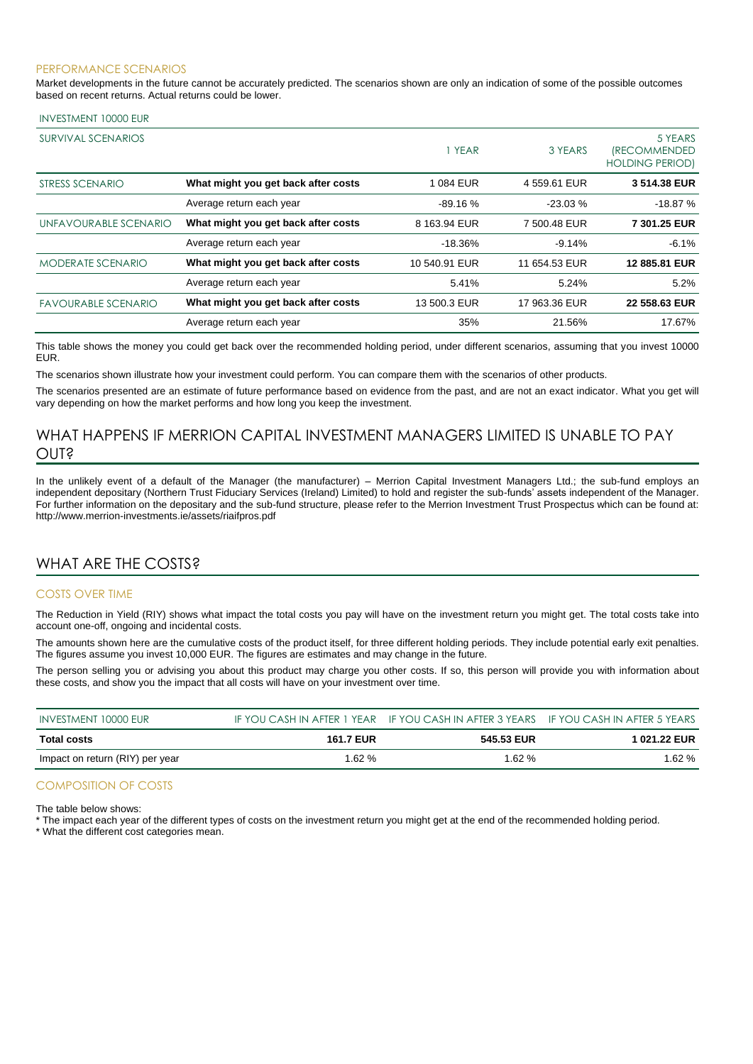#### PERFORMANCE SCENARIOS

Market developments in the future cannot be accurately predicted. The scenarios shown are only an indication of some of the possible outcomes based on recent returns. Actual returns could be lower.

#### INVESTMENT 10000 EUR

| <b>SURVIVAL SCENARIOS</b>  |                                     | 1 YEAR        | 3 YEARS       | 5 YEARS<br><i><b>IRECOMMENDED</b></i><br><b>HOLDING PERIOD)</b> |
|----------------------------|-------------------------------------|---------------|---------------|-----------------------------------------------------------------|
| STRESS SCENARIO            | What might you get back after costs | 1084 EUR      | 4 559.61 EUR  | 3 514.38 EUR                                                    |
|                            | Average return each year            | $-89.16%$     | $-23.03\%$    | $-18.87%$                                                       |
| UNFAVOURABLE SCENARIO      | What might you get back after costs | 8 163.94 EUR  | 7 500.48 EUR  | 7 301.25 EUR                                                    |
|                            | Average return each year            | $-18.36%$     | $-9.14%$      | $-6.1%$                                                         |
| <b>MODERATE SCENARIO</b>   | What might you get back after costs | 10 540.91 EUR | 11 654.53 EUR | 12 885.81 EUR                                                   |
|                            | Average return each year            | 5.41%         | 5.24%         | 5.2%                                                            |
| <b>FAVOURABLE SCENARIO</b> | What might you get back after costs | 13 500.3 EUR  | 17 963.36 EUR | 22 558.63 EUR                                                   |
|                            | Average return each year            | 35%           | 21.56%        | 17.67%                                                          |

This table shows the money you could get back over the recommended holding period, under different scenarios, assuming that you invest 10000 EUR.

The scenarios shown illustrate how your investment could perform. You can compare them with the scenarios of other products.

The scenarios presented are an estimate of future performance based on evidence from the past, and are not an exact indicator. What you get will vary depending on how the market performs and how long you keep the investment.

## WHAT HAPPENS IF MERRION CAPITAL INVESTMENT MANAGERS LIMITED IS UNABLE TO PAY OUT?

In the unlikely event of a default of the Manager (the manufacturer) – Merrion Capital Investment Managers Ltd.; the sub-fund employs an independent depositary (Northern Trust Fiduciary Services (Ireland) Limited) to hold and register the sub-funds' assets independent of the Manager. For further information on the depositary and the sub-fund structure, please refer to the Merrion Investment Trust Prospectus which can be found at: http://www.merrion-investments.ie/assets/riaifpros.pdf

## WHAT ARE THE COSTS?

#### COSTS OVER TIME

The Reduction in Yield (RIY) shows what impact the total costs you pay will have on the investment return you might get. The total costs take into account one-off, ongoing and incidental costs.

The amounts shown here are the cumulative costs of the product itself, for three different holding periods. They include potential early exit penalties. The figures assume you invest 10,000 EUR. The figures are estimates and may change in the future.

The person selling you or advising you about this product may charge you other costs. If so, this person will provide you with information about these costs, and show you the impact that all costs will have on your investment over time.

| INVESTMENT 10000 EUR            |                  | IF YOU CASH IN AFTER 1 YEAR IF YOU CASH IN AFTER 3 YEARS IF YOU CASH IN AFTER 5 YEARS |              |
|---------------------------------|------------------|---------------------------------------------------------------------------------------|--------------|
| Total costs                     | <b>161.7 EUR</b> | 545.53 EUR                                                                            | 1 021.22 EUR |
| Impact on return (RIY) per year | $1.62\%$         | 1.62 $%$                                                                              | 1.62 %       |

#### COMPOSITION OF COSTS

The table below shows:

\* The impact each year of the different types of costs on the investment return you might get at the end of the recommended holding period.

\* What the different cost categories mean.